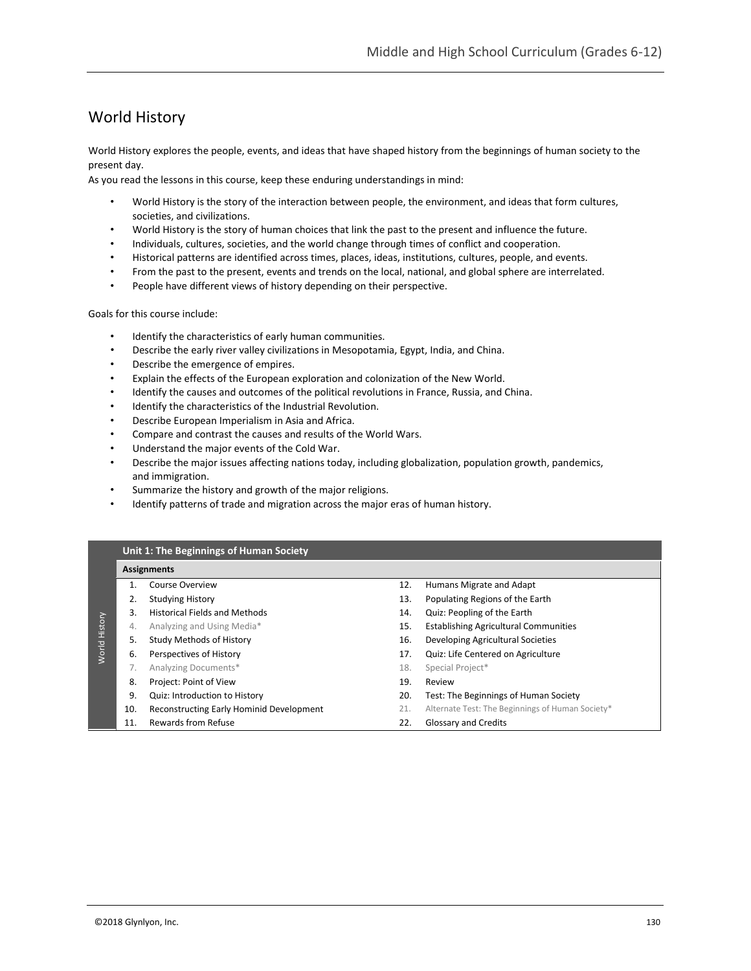# World History

World History explores the people, events, and ideas that have shaped history from the beginnings of human society to the present day.

As you read the lessons in this course, keep these enduring understandings in mind:

- World History is the story of the interaction between people, the environment, and ideas that form cultures, societies, and civilizations.
- World History is the story of human choices that link the past to the present and influence the future.
- Individuals, cultures, societies, and the world change through times of conflict and cooperation.
- Historical patterns are identified across times, places, ideas, institutions, cultures, people, and events.
- From the past to the present, events and trends on the local, national, and global sphere are interrelated.
- People have different views of history depending on their perspective.

Goals for this course include:

- Identify the characteristics of early human communities.
- Describe the early river valley civilizations in Mesopotamia, Egypt, India, and China.
- Describe the emergence of empires.
- Explain the effects of the European exploration and colonization of the New World.
- Identify the causes and outcomes of the political revolutions in France, Russia, and China.
- Identify the characteristics of the Industrial Revolution.
- Describe European Imperialism in Asia and Africa.
- Compare and contrast the causes and results of the World Wars.
- Understand the major events of the Cold War.
- Describe the major issues affecting nations today, including globalization, population growth, pandemics, and immigration.
- Summarize the history and growth of the major religions.
- Identify patterns of trade and migration across the major eras of human history.

# **Unit 1: The Beginnings of Human Society**

|                |     | <b>Assignments</b>                       |     |                                                  |
|----------------|-----|------------------------------------------|-----|--------------------------------------------------|
|                |     | Course Overview                          | 12. | Humans Migrate and Adapt                         |
| <b>History</b> | 2.  | <b>Studying History</b>                  | 13. | Populating Regions of the Earth                  |
|                | 3.  | <b>Historical Fields and Methods</b>     | 14. | Quiz: Peopling of the Earth                      |
|                | 4.  | Analyzing and Using Media*               | 15. | <b>Establishing Agricultural Communities</b>     |
|                | 5.  | Study Methods of History                 | 16. | Developing Agricultural Societies                |
| World          | 6.  | Perspectives of History                  | 17. | Quiz: Life Centered on Agriculture               |
|                |     | Analyzing Documents*                     | 18. | Special Project*                                 |
|                | 8.  | Project: Point of View                   | 19. | Review                                           |
|                | 9.  | Quiz: Introduction to History            | 20. | Test: The Beginnings of Human Society            |
|                | 10. | Reconstructing Early Hominid Development | 21. | Alternate Test: The Beginnings of Human Society* |
|                | 11. | Rewards from Refuse                      | 22. | <b>Glossary and Credits</b>                      |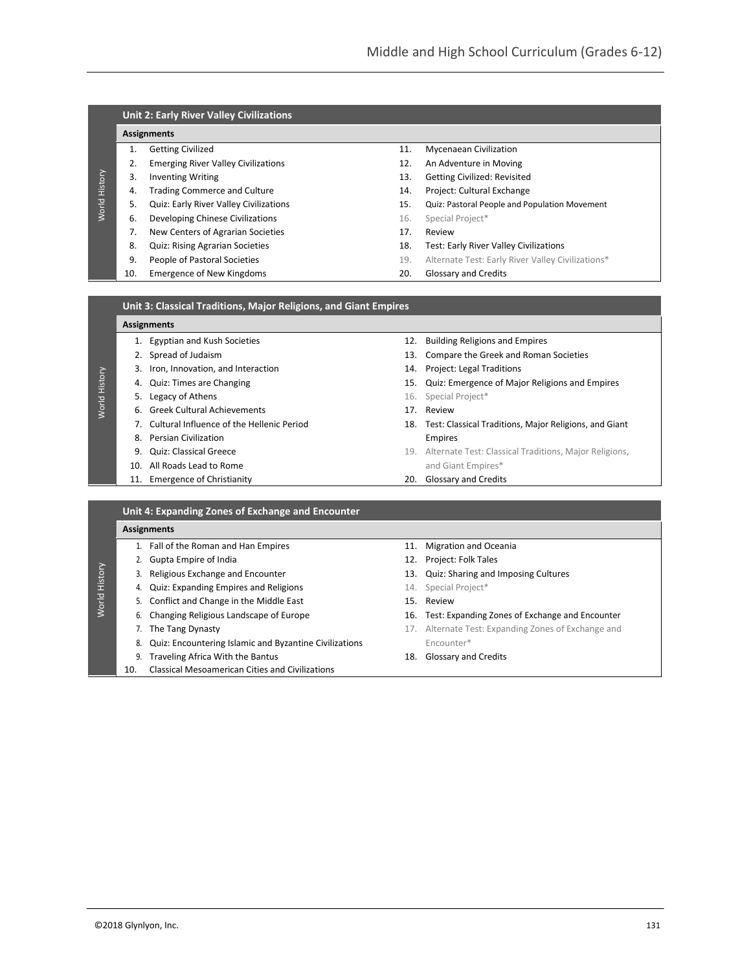|               |     | <b>Unit 2: Early River Valley Civilizations</b> |     |                                                   |
|---------------|-----|-------------------------------------------------|-----|---------------------------------------------------|
|               |     | <b>Assignments</b>                              |     |                                                   |
|               | 1.  | <b>Getting Civilized</b>                        | 11. | <b>Mycenaean Civilization</b>                     |
|               | 2.  | <b>Emerging River Valley Civilizations</b>      | 12. | An Adventure in Moving                            |
|               | 3.  | <b>Inventing Writing</b>                        | 13. | <b>Getting Civilized: Revisited</b>               |
| World History | 4.  | <b>Trading Commerce and Culture</b>             | 14. | Project: Cultural Exchange                        |
|               | 5.  | <b>Quiz: Early River Valley Civilizations</b>   | 15. | Quiz: Pastoral People and Population Movement     |
|               | 6.  | Developing Chinese Civilizations                | 16. | Special Project*                                  |
|               | 7.  | New Centers of Agrarian Societies               | 17. | Review                                            |
|               | 8.  | <b>Quiz: Rising Agrarian Societies</b>          | 18. | Test: Early River Valley Civilizations            |
|               | 9.  | People of Pastoral Societies                    | 19. | Alternate Test: Early River Valley Civilizations* |
|               | 10. | <b>Emergence of New Kingdoms</b>                | 20. | <b>Glossary and Credits</b>                       |

| Unit 3: Classical Traditions, Major Religions, and Giant Empires |                  |
|------------------------------------------------------------------|------------------|
| Assignments                                                      |                  |
| 1. Egyptian and Kush Societies                                   | 12. Building Rel |

- 
- 3. Iron, Innovation, and Interaction 14. Project: Legal Traditions
- 
- **5.** Legacy of Athens **16.** Special Project\*

World History

- 6. Greek Cultural Achievements 17. Review
- 
- 8. Persian Civilization **Empires**
- 
- 10. All Roads Lead to Rome and Giant Empires\*
- 11. Emergence of Christianity 20. Glossary and Credits
- ligions and Empires
- 2. Spread of Judaism 13. Compare the Greek and Roman Societies
	-
- 4. Quiz: Times are Changing 15. Quiz: Emergence of Major Religions and Empires
	- -
- 7. Cultural Influence of the Hellenic Period 18. Test: Classical Traditions, Major Religions, and Giant
- 9. Quiz: Classical Greece 19. Alternate Test: Classical Traditions, Major Religions,
	-

|         |     | <b>Assignments</b>                                     |     |                                                     |
|---------|-----|--------------------------------------------------------|-----|-----------------------------------------------------|
|         |     | 1. Fall of the Roman and Han Empires                   | 11. | <b>Migration and Oceania</b>                        |
|         |     | 2. Gupta Empire of India                               |     | 12. Project: Folk Tales                             |
| History |     | Religious Exchange and Encounter                       |     | 13. Quiz: Sharing and Imposing Cultures             |
|         | 4.  | <b>Quiz: Expanding Empires and Religions</b>           |     | 14. Special Project*                                |
|         |     | 5. Conflict and Change in the Middle East              | 15. | Review                                              |
|         |     | Changing Religious Landscape of Europe                 |     | 16. Test: Expanding Zones of Exchange and Encounter |
|         |     | The Tang Dynasty                                       |     | 17. Alternate Test: Expanding Zones of Exchange and |
|         | 8.  | Quiz: Encountering Islamic and Byzantine Civilizations |     | Encounter*                                          |
|         | 9.  | Traveling Africa With the Bantus                       | 18. | <b>Glossary and Credits</b>                         |
|         | 10. | <b>Classical Mesoamerican Cities and Civilizations</b> |     |                                                     |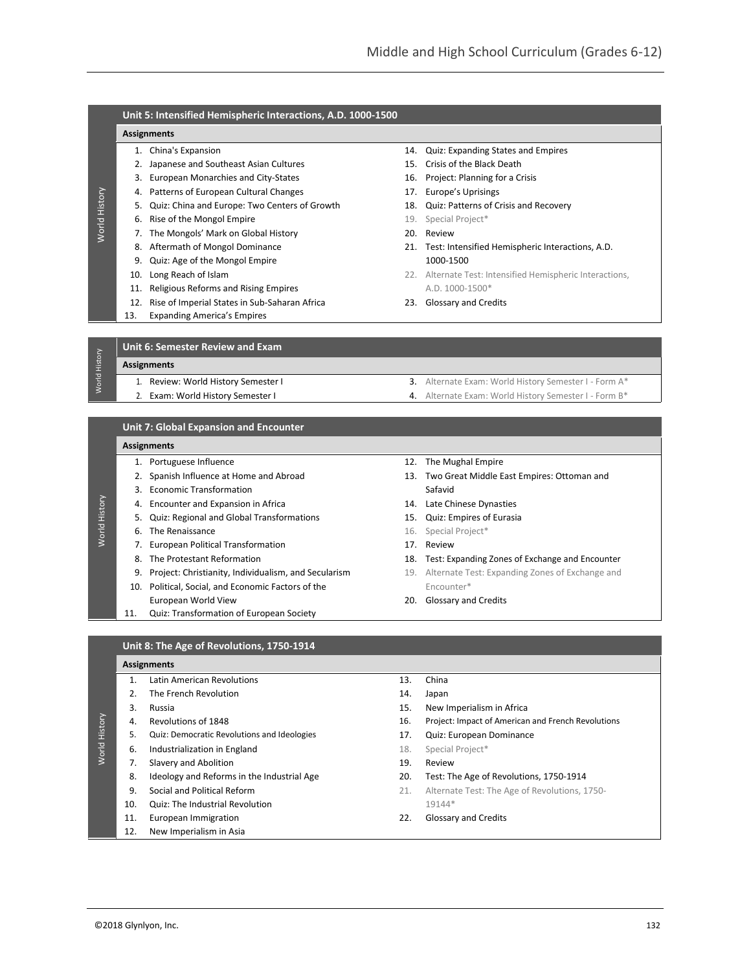|               |     | Unit 5: Intensified Hemispheric Interactions, A.D. 1000-1500 |     |                                                           |
|---------------|-----|--------------------------------------------------------------|-----|-----------------------------------------------------------|
|               |     | <b>Assignments</b>                                           |     |                                                           |
|               |     | 1. China's Expansion                                         | 14. | Quiz: Expanding States and Empires                        |
|               | 2.  | Japanese and Southeast Asian Cultures                        | 15. | Crisis of the Black Death                                 |
|               |     | European Monarchies and City-States                          | 16. | Project: Planning for a Crisis                            |
|               | 4.  | Patterns of European Cultural Changes                        | 17. | <b>Europe's Uprisings</b>                                 |
| World History | 5.  | Quiz: China and Europe: Two Centers of Growth                | 18. | Quiz: Patterns of Crisis and Recovery                     |
|               | 6.  | Rise of the Mongol Empire                                    | 19. | Special Project*                                          |
|               |     | The Mongols' Mark on Global History                          | 20. | Review                                                    |
|               | 8.  | Aftermath of Mongol Dominance                                | 21. | Test: Intensified Hemispheric Interactions, A.D.          |
|               | 9.  | Quiz: Age of the Mongol Empire                               |     | 1000-1500                                                 |
|               | 10. | Long Reach of Islam                                          |     | 22. Alternate Test: Intensified Hemispheric Interactions, |
|               | 11. | Religious Reforms and Rising Empires                         |     | A.D. 1000-1500*                                           |
|               | 12. | Rise of Imperial States in Sub-Saharan Africa                |     | 23. Glossary and Credits                                  |
|               | 13. | <b>Expanding America's Empires</b>                           |     |                                                           |
|               |     |                                                              |     |                                                           |
|               |     | Unit 6: Semester Review and Exam                             |     |                                                           |
| World History |     | <b>Assignments</b>                                           |     |                                                           |
|               |     | 1. Review: World History Semester I                          | 3.  | Alternate Exam: World History Semester I - Form A*        |
|               |     | Exam: World History Semester I                               | 4.  | Alternate Exam: World History Semester I - Form B*        |
|               |     |                                                              |     |                                                           |

# **Unit 7: Global Expansion and Encounter**

# **Assignments**

World History

- 
- 2. Spanish Influence at Home and Abroad 13. Two Great Middle East Empires: Ottoman and
- 3. Economic Transformation Safavid
- 4. Encounter and Expansion in Africa 14. Late Chinese Dynasties
- 5. Quiz: Regional and Global Transformations 15. Quiz: Empires of Eurasia
- 6. The Renaissance **16. Special Project**\*
- 7. European Political Transformation 17. Review
- 
- 
- 10. Political, Social, and Economic Factors of the Encounter\* European World View **20. Clossary and Credits**
- 11. Quiz: Transformation of European Society
- 1. Portuguese Influence 12. The Mughal Empire
	-
	-
	-
	-
	-
- 8. The Protestant Reformation 18. Test: Expanding Zones of Exchange and Encounter
- 9. Project: Christianity, Individualism, and Secularism 19. Alternate Test: Expanding Zones of Exchange and
	-

# **Unit 8: The Age of Revolutions, 1750-1914**

#### **Assignments**

|         | $\mathbf 1$ | Latin American Revolutions                  | 13. | China                                              |
|---------|-------------|---------------------------------------------|-----|----------------------------------------------------|
|         |             | The French Revolution                       | 14. | Japan                                              |
|         | 3.          | Russia                                      | 15. | New Imperialism in Africa                          |
| History | 4.          | Revolutions of 1848                         | 16. | Project: Impact of American and French Revolutions |
|         | 5.          | Quiz: Democratic Revolutions and Ideologies | 17. | Quiz: European Dominance                           |
| World   | 6.          | Industrialization in England                | 18. | Special Project*                                   |
|         | 7.          | Slavery and Abolition                       | 19. | Review                                             |
|         | 8.          | Ideology and Reforms in the Industrial Age  | 20. | Test: The Age of Revolutions, 1750-1914            |
|         | 9.          | Social and Political Reform                 | 21. | Alternate Test: The Age of Revolutions, 1750-      |
|         | 10.         | <b>Quiz: The Industrial Revolution</b>      |     | 19144*                                             |
|         | 11.         | European Immigration                        | 22. | <b>Glossary and Credits</b>                        |
|         | 12.         | New Imperialism in Asia                     |     |                                                    |
|         |             |                                             |     |                                                    |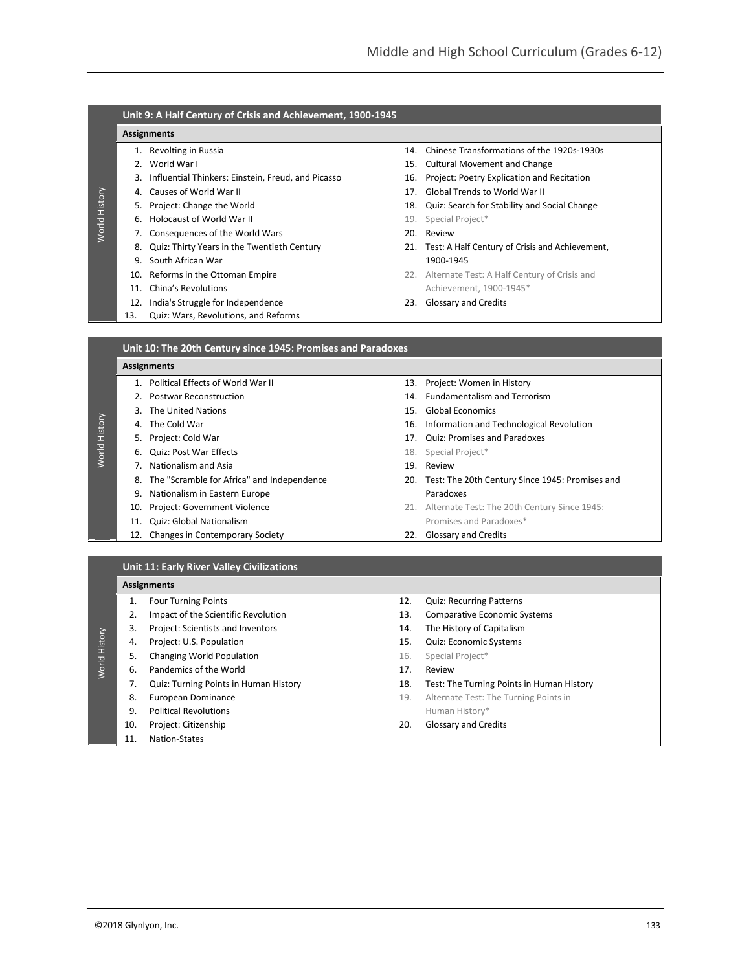# **Unit 9: A Half Century of Crisis and Achievement, 1900-1945**

#### **Assignments**

World History

- 
- 
- 3. Influential Thinkers: Einstein, Freud, and Picasso 16. Project: Poetry Explication and Recitation
- 
- 
- 6. Holocaust of World War II 19. Special Project\*
- 7. Consequences of the World Wars 20. Review
- 8. Quiz: Thirty Years in the Twentieth Century 21. Test: A Half Century of Crisis and Achievement,
- 9. South African War 1900-1945
- 
- 
- 12. India's Struggle for Independence 23. Glossary and Credits
- 13. Quiz: Wars, Revolutions, and Reforms
- 1. Revolting in Russia 14. Chinese Transformations of the 1920s-1930s
- 2. World War I 15. Cultural Movement and Change
	-
- 4. Causes of World War II 17. Global Trends to World War II
- 5. Project: Change the World 18. Quiz: Search for Stability and Social Change
	-
	-
	-
- 10. Reforms in the Ottoman Empire **22. Alternate Test: A Half Century of Crisis and** 11. China's Revolutions **Achievement**, 1900-1945\*
	-

| <b>Assignments</b><br>Political Effects of World War II<br>13. Project: Women in History<br>$\mathbf{1}$<br>14. Fundamentalism and Terrorism<br><b>Postwar Reconstruction</b><br>3. The United Nations<br>15. Global Economics |  |
|--------------------------------------------------------------------------------------------------------------------------------------------------------------------------------------------------------------------------------|--|
|                                                                                                                                                                                                                                |  |
|                                                                                                                                                                                                                                |  |
|                                                                                                                                                                                                                                |  |
|                                                                                                                                                                                                                                |  |
| 4. The Cold War<br>16. Information and Technological Revolution                                                                                                                                                                |  |
| World History<br>5. Project: Cold War<br>17. Quiz: Promises and Paradoxes                                                                                                                                                      |  |
| 6. Quiz: Post War Effects<br>18. Special Project*                                                                                                                                                                              |  |
| 7. Nationalism and Asia<br>19. Review                                                                                                                                                                                          |  |
| The "Scramble for Africa" and Independence<br>20. Test: The 20th Century Since 1945: Promises and<br>8.                                                                                                                        |  |
| Paradoxes<br>Nationalism in Eastern Europe<br>9.                                                                                                                                                                               |  |
| Project: Government Violence<br>21. Alternate Test: The 20th Century Since 1945:<br>10.                                                                                                                                        |  |
| Promises and Paradoxes*<br><b>Quiz: Global Nationalism</b><br>11.                                                                                                                                                              |  |
| Changes in Contemporary Society<br><b>Glossary and Credits</b><br>12.<br>22.                                                                                                                                                   |  |

#### **Unit 11: Early River Valley Civilizations**

#### **Assignments**

World History

- 1. Four Turning Points
- 2. Impact of the Scientific Revolution
- 3. Project: Scientists and Inventors
- 4. Project: U.S. Population
- 5. Changing World Population
- 6. Pandemics of the World
- 7. Quiz: Turning Points in Human History
	- 8. European Dominance
- 9. Political Revolutions
	- 10. Project: Citizenship
	- 11. Nation-States
- 12. Quiz: Recurring Patterns
- 13. Comparative Economic Systems
- 14. The History of Capitalism
- 15. Quiz: Economic Systems
- 16. Special Project\*
- 17. Review
- 18. Test: The Turning Points in Human History
- 19. Alternate Test: The Turning Points in Human History\*
- 20. Glossary and Credits